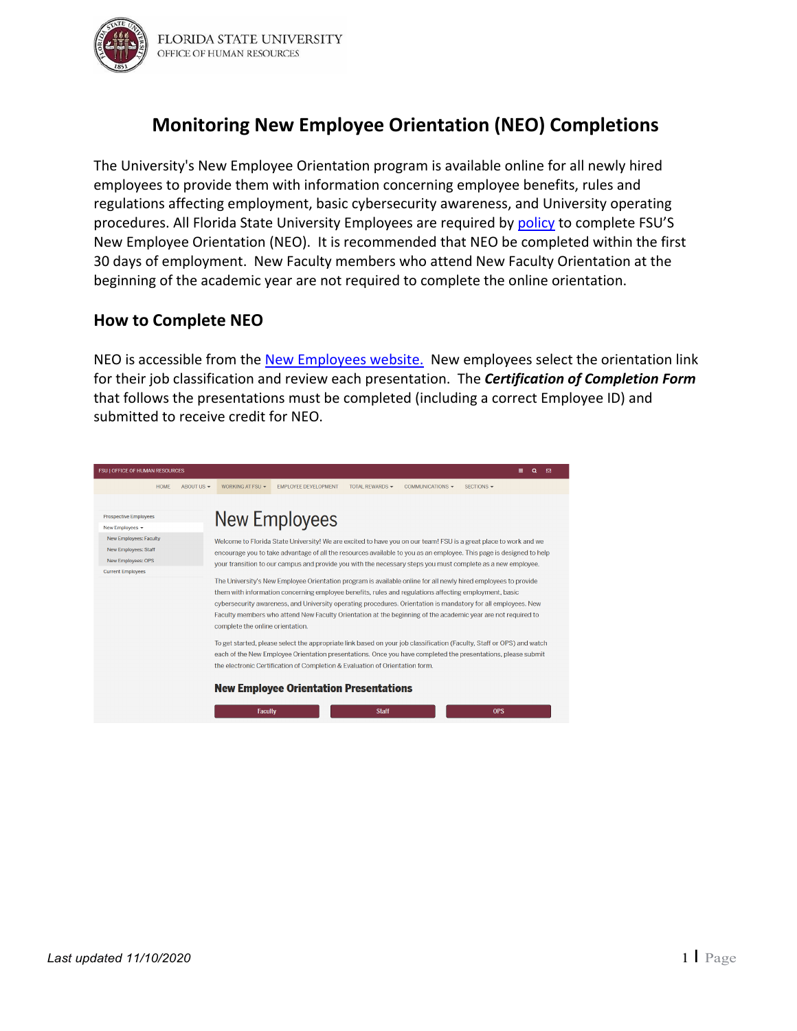

# **Monitoring New Employee Orientation (NEO) Completions**

The University's New Employee Orientation program is available online for all newly hired employees to provide them with information concerning employee benefits, rules and regulations affecting employment, basic cybersecurity awareness, and University operating procedures. All Florida State University Employees are required by [policy](https://policies.vpfa.fsu.edu/policies-and-procedures/faculty-staff/training-and-organization-development) to complete FSU'S New Employee Orientation (NEO). It is recommended that NEO be completed within the first 30 days of employment. New Faculty members who attend New Faculty Orientation at the beginning of the academic year are not required to complete the online orientation.

### **How to Complete NEO**

NEO is accessible from the [New Employees website.](https://hr.fsu.edu/working-fsu/new-employees) New employees select the orientation link for their job classification and review each presentation. The *Certification of Completion Form* that follows the presentations must be completed (including a correct Employee ID) and submitted to receive credit for NEO.

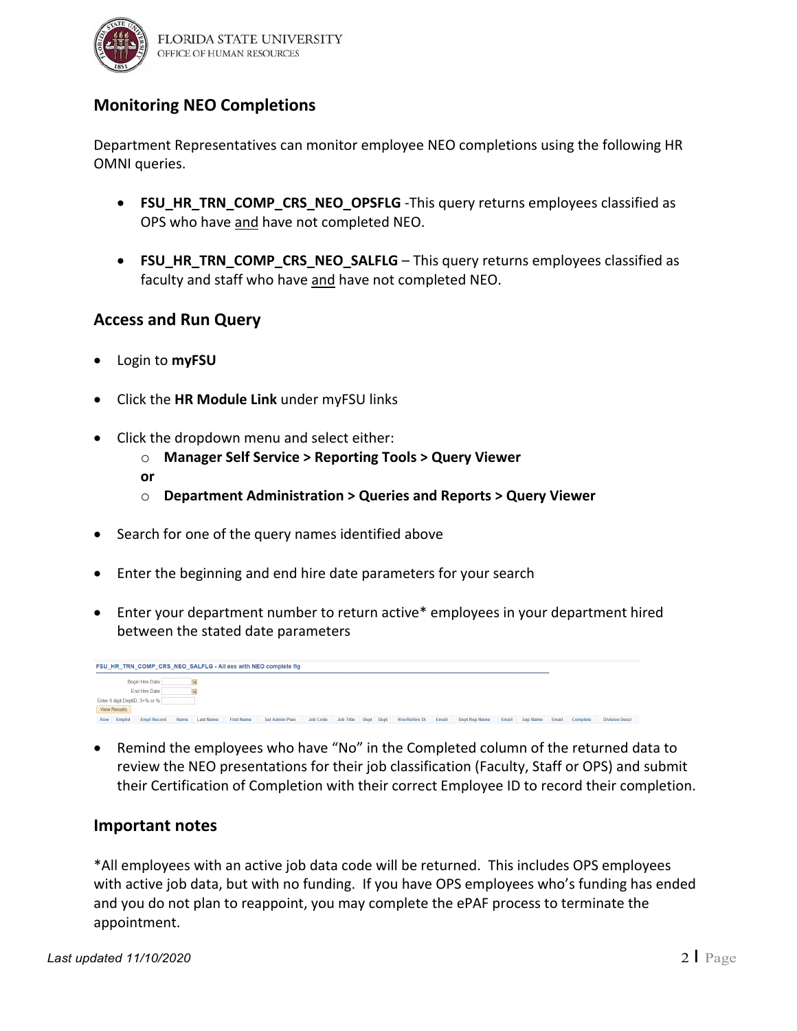

## **Monitoring NEO Completions**

Department Representatives can monitor employee NEO completions using the following HR OMNI queries.

- **FSU\_HR\_TRN\_COMP\_CRS\_NEO\_OPSFLG** -This query returns employees classified as OPS who have and have not completed NEO.
- **FSU HR TRN COMP CRS NEO SALFLG** This query returns employees classified as faculty and staff who have and have not completed NEO.

### **Access and Run Query**

- Login to **myFSU**
- Click the **HR Module Link** under myFSU links
- Click the dropdown menu and select either:
	- o **Manager Self Service > Reporting Tools > Query Viewer**
	- **or**
	- o **Department Administration > Queries and Reports > Query Viewer**
- Search for one of the query names identified above
- Enter the beginning and end hire date parameters for your search
- Enter your department number to return active\* employees in your department hired between the stated date parameters

|                                            | FSU_HR_TRN_COMP_CRS_NEO_SALFLG - All ees with NEO complete fig |                  |                   |                |                 |           |  |  |                          |       |                      |       |          |       |          |                       |
|--------------------------------------------|----------------------------------------------------------------|------------------|-------------------|----------------|-----------------|-----------|--|--|--------------------------|-------|----------------------|-------|----------|-------|----------|-----------------------|
| Begin Hire Date                            |                                                                |                  |                   |                |                 |           |  |  |                          |       |                      |       |          |       |          |                       |
| End Hire Date                              |                                                                |                  |                   |                |                 |           |  |  |                          |       |                      |       |          |       |          |                       |
| Enter 6 digit DeptID, 3+% or %             |                                                                |                  |                   |                |                 |           |  |  |                          |       |                      |       |          |       |          |                       |
| <b>View Results</b>                        |                                                                |                  |                   |                |                 |           |  |  |                          |       |                      |       |          |       |          |                       |
| Emplid<br><b>Empl Record</b><br><b>Row</b> | Name                                                           | <b>Last Name</b> | <b>First Name</b> | Sal Admin Plan | <b>Job Code</b> | Job Title |  |  | Dept Dept Hire/Rehire Dt | Email | <b>Dept Rep Name</b> | Email | Sup Name | Email | Complete | <b>Division Descr</b> |

• Remind the employees who have "No" in the Completed column of the returned data to review the NEO presentations for their job classification (Faculty, Staff or OPS) and submit their Certification of Completion with their correct Employee ID to record their completion.

#### **Important notes**

\*All employees with an active job data code will be returned. This includes OPS employees with active job data, but with no funding. If you have OPS employees who's funding has ended and you do not plan to reappoint, you may complete the ePAF process to terminate the appointment.